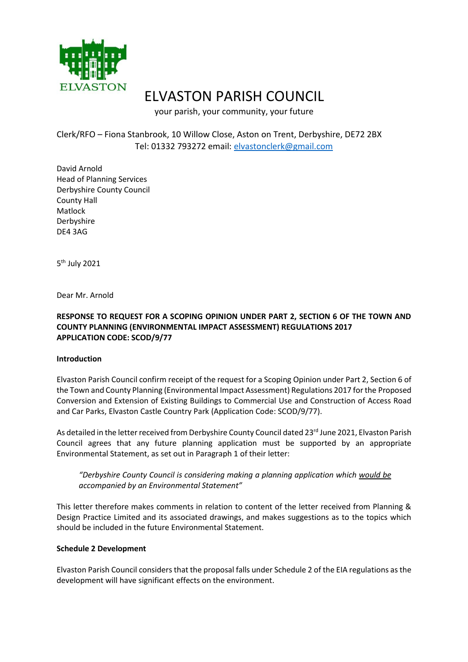

# ELVASTON PARISH COUNCIL

your parish, your community, your future

## Clerk/RFO – Fiona Stanbrook, 10 Willow Close, Aston on Trent, Derbyshire, DE72 2BX Tel: 01332 793272 email: [elvastonclerk@gmail.com](mailto:elvastonclerk@gmail.com)

David Arnold Head of Planning Services Derbyshire County Council County Hall Matlock Derbyshire DE4 3AG

5<sup>th</sup> July 2021

Dear Mr. Arnold

## **RESPONSE TO REQUEST FOR A SCOPING OPINION UNDER PART 2, SECTION 6 OF THE TOWN AND COUNTY PLANNING (ENVIRONMENTAL IMPACT ASSESSMENT) REGULATIONS 2017 APPLICATION CODE: SCOD/9/77**

## **Introduction**

Elvaston Parish Council confirm receipt of the request for a Scoping Opinion under Part 2, Section 6 of the Town and County Planning (Environmental Impact Assessment) Regulations 2017 for the Proposed Conversion and Extension of Existing Buildings to Commercial Use and Construction of Access Road and Car Parks, Elvaston Castle Country Park (Application Code: SCOD/9/77).

As detailed in the letter received from Derbyshire County Council dated 23rd June 2021, Elvaston Parish Council agrees that any future planning application must be supported by an appropriate Environmental Statement, as set out in Paragraph 1 of their letter:

*"Derbyshire County Council is considering making a planning application which would be accompanied by an Environmental Statement"*

This letter therefore makes comments in relation to content of the letter received from Planning & Design Practice Limited and its associated drawings, and makes suggestions as to the topics which should be included in the future Environmental Statement.

#### **Schedule 2 Development**

Elvaston Parish Council considers that the proposal falls under Schedule 2 of the EIA regulations as the development will have significant effects on the environment.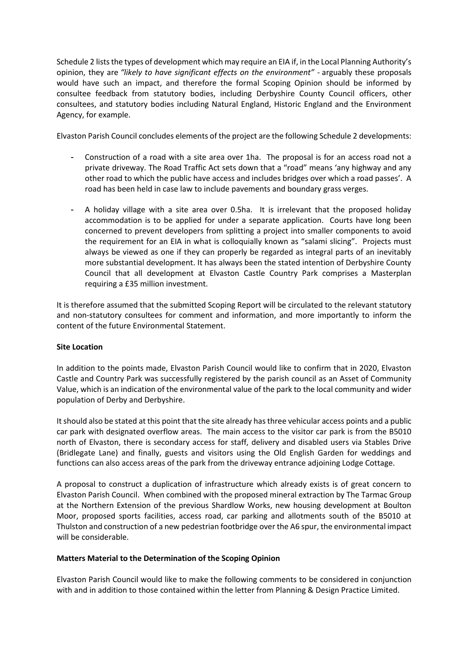Schedule 2 lists the types of development which may require an EIA if, in the Local Planning Authority's opinion, they are *"likely to have significant effects on the environment"* - arguably these proposals would have such an impact, and therefore the formal Scoping Opinion should be informed by consultee feedback from statutory bodies, including Derbyshire County Council officers, other consultees, and statutory bodies including Natural England, Historic England and the Environment Agency, for example.

Elvaston Parish Council concludes elements of the project are the following Schedule 2 developments:

- Construction of a road with a site area over 1ha. The proposal is for an access road not a private driveway. The Road Traffic Act sets down that a "road" means 'any highway and any other road to which the public have access and includes bridges over which a road passes'. A road has been held in case law to include pavements and boundary grass verges.
- A holiday village with a site area over 0.5ha. It is irrelevant that the proposed holiday accommodation is to be applied for under a separate application. Courts have long been concerned to prevent developers from splitting a project into smaller components to avoid the requirement for an EIA in what is colloquially known as "salami slicing". Projects must always be viewed as one if they can properly be regarded as integral parts of an inevitably more substantial development. It has always been the stated intention of Derbyshire County Council that all development at Elvaston Castle Country Park comprises a Masterplan requiring a £35 million investment.

It is therefore assumed that the submitted Scoping Report will be circulated to the relevant statutory and non-statutory consultees for comment and information, and more importantly to inform the content of the future Environmental Statement.

#### **Site Location**

In addition to the points made, Elvaston Parish Council would like to confirm that in 2020, Elvaston Castle and Country Park was successfully registered by the parish council as an Asset of Community Value, which is an indication of the environmental value of the park to the local community and wider population of Derby and Derbyshire.

It should also be stated at this point that the site already has three vehicular access points and a public car park with designated overflow areas. The main access to the visitor car park is from the B5010 north of Elvaston, there is secondary access for staff, delivery and disabled users via Stables Drive (Bridlegate Lane) and finally, guests and visitors using the Old English Garden for weddings and functions can also access areas of the park from the driveway entrance adjoining Lodge Cottage.

A proposal to construct a duplication of infrastructure which already exists is of great concern to Elvaston Parish Council. When combined with the proposed mineral extraction by The Tarmac Group at the Northern Extension of the previous Shardlow Works, new housing development at Boulton Moor, proposed sports facilities, access road, car parking and allotments south of the B5010 at Thulston and construction of a new pedestrian footbridge over the A6 spur, the environmental impact will be considerable.

#### **Matters Material to the Determination of the Scoping Opinion**

Elvaston Parish Council would like to make the following comments to be considered in conjunction with and in addition to those contained within the letter from Planning & Design Practice Limited.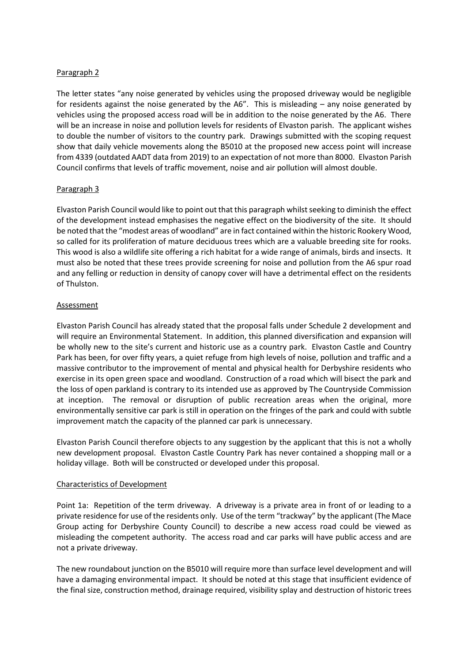#### Paragraph 2

The letter states "any noise generated by vehicles using the proposed driveway would be negligible for residents against the noise generated by the A6". This is misleading – any noise generated by vehicles using the proposed access road will be in addition to the noise generated by the A6. There will be an increase in noise and pollution levels for residents of Elvaston parish. The applicant wishes to double the number of visitors to the country park. Drawings submitted with the scoping request show that daily vehicle movements along the B5010 at the proposed new access point will increase from 4339 (outdated AADT data from 2019) to an expectation of not more than 8000. Elvaston Parish Council confirms that levels of traffic movement, noise and air pollution will almost double.

## Paragraph 3

Elvaston Parish Council would like to point out that this paragraph whilst seeking to diminish the effect of the development instead emphasises the negative effect on the biodiversity of the site. It should be noted that the "modest areas of woodland" are in fact contained within the historic Rookery Wood, so called for its proliferation of mature deciduous trees which are a valuable breeding site for rooks. This wood is also a wildlife site offering a rich habitat for a wide range of animals, birds and insects. It must also be noted that these trees provide screening for noise and pollution from the A6 spur road and any felling or reduction in density of canopy cover will have a detrimental effect on the residents of Thulston.

## **Assessment**

Elvaston Parish Council has already stated that the proposal falls under Schedule 2 development and will require an Environmental Statement. In addition, this planned diversification and expansion will be wholly new to the site's current and historic use as a country park. Elvaston Castle and Country Park has been, for over fifty years, a quiet refuge from high levels of noise, pollution and traffic and a massive contributor to the improvement of mental and physical health for Derbyshire residents who exercise in its open green space and woodland. Construction of a road which will bisect the park and the loss of open parkland is contrary to its intended use as approved by The Countryside Commission at inception. The removal or disruption of public recreation areas when the original, more environmentally sensitive car park is still in operation on the fringes of the park and could with subtle improvement match the capacity of the planned car park is unnecessary.

Elvaston Parish Council therefore objects to any suggestion by the applicant that this is not a wholly new development proposal. Elvaston Castle Country Park has never contained a shopping mall or a holiday village. Both will be constructed or developed under this proposal.

#### Characteristics of Development

Point 1a: Repetition of the term driveway. A driveway is a private area in front of or leading to a private residence for use of the residents only. Use of the term "trackway" by the applicant (The Mace Group acting for Derbyshire County Council) to describe a new access road could be viewed as misleading the competent authority. The access road and car parks will have public access and are not a private driveway.

The new roundabout junction on the B5010 will require more than surface level development and will have a damaging environmental impact. It should be noted at this stage that insufficient evidence of the final size, construction method, drainage required, visibility splay and destruction of historic trees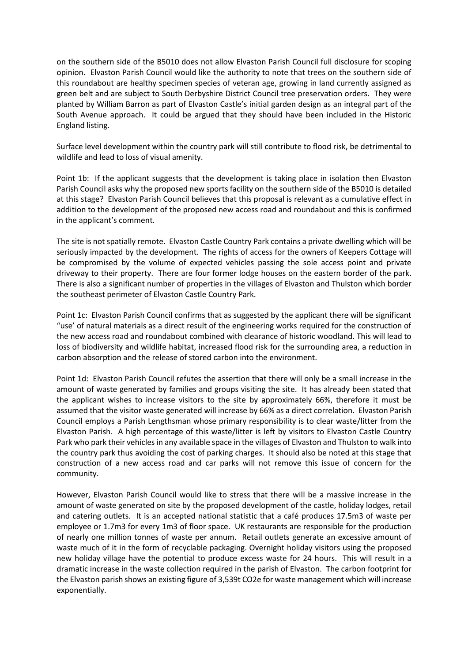on the southern side of the B5010 does not allow Elvaston Parish Council full disclosure for scoping opinion. Elvaston Parish Council would like the authority to note that trees on the southern side of this roundabout are healthy specimen species of veteran age, growing in land currently assigned as green belt and are subject to South Derbyshire District Council tree preservation orders. They were planted by William Barron as part of Elvaston Castle's initial garden design as an integral part of the South Avenue approach. It could be argued that they should have been included in the Historic England listing.

Surface level development within the country park will still contribute to flood risk, be detrimental to wildlife and lead to loss of visual amenity.

Point 1b: If the applicant suggests that the development is taking place in isolation then Elvaston Parish Council asks why the proposed new sports facility on the southern side of the B5010 is detailed at this stage? Elvaston Parish Council believes that this proposal is relevant as a cumulative effect in addition to the development of the proposed new access road and roundabout and this is confirmed in the applicant's comment.

The site is not spatially remote. Elvaston Castle Country Park contains a private dwelling which will be seriously impacted by the development. The rights of access for the owners of Keepers Cottage will be compromised by the volume of expected vehicles passing the sole access point and private driveway to their property. There are four former lodge houses on the eastern border of the park. There is also a significant number of properties in the villages of Elvaston and Thulston which border the southeast perimeter of Elvaston Castle Country Park.

Point 1c: Elvaston Parish Council confirms that as suggested by the applicant there will be significant "use' of natural materials as a direct result of the engineering works required for the construction of the new access road and roundabout combined with clearance of historic woodland. This will lead to loss of biodiversity and wildlife habitat, increased flood risk for the surrounding area, a reduction in carbon absorption and the release of stored carbon into the environment.

Point 1d: Elvaston Parish Council refutes the assertion that there will only be a small increase in the amount of waste generated by families and groups visiting the site. It has already been stated that the applicant wishes to increase visitors to the site by approximately 66%, therefore it must be assumed that the visitor waste generated will increase by 66% as a direct correlation. Elvaston Parish Council employs a Parish Lengthsman whose primary responsibility is to clear waste/litter from the Elvaston Parish. A high percentage of this waste/litter is left by visitors to Elvaston Castle Country Park who park their vehicles in any available space in the villages of Elvaston and Thulston to walk into the country park thus avoiding the cost of parking charges. It should also be noted at this stage that construction of a new access road and car parks will not remove this issue of concern for the community.

However, Elvaston Parish Council would like to stress that there will be a massive increase in the amount of waste generated on site by the proposed development of the castle, holiday lodges, retail and catering outlets. It is an accepted national statistic that a café produces 17.5m3 of waste per employee or 1.7m3 for every 1m3 of floor space. UK restaurants are responsible for the production of nearly one million tonnes of waste per annum. Retail outlets generate an excessive amount of waste much of it in the form of recyclable packaging. Overnight holiday visitors using the proposed new holiday village have the potential to produce excess waste for 24 hours. This will result in a dramatic increase in the waste collection required in the parish of Elvaston. The carbon footprint for the Elvaston parish shows an existing figure of 3,539t CO2e for waste management which will increase exponentially.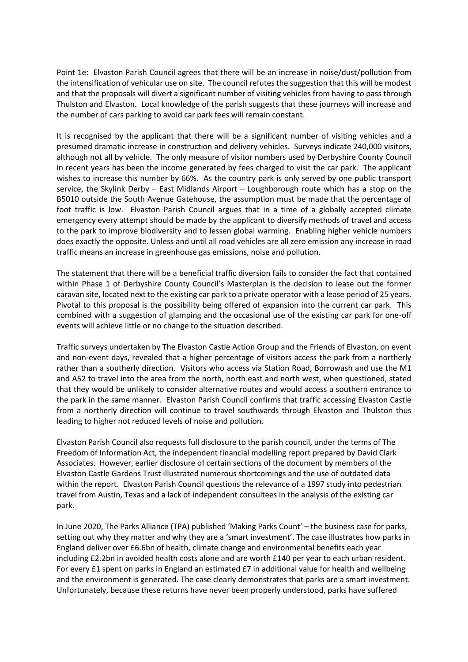Point 1e: Elvaston Parish Council agrees that there will be an increase in noise/dust/pollution from the intensification of vehicular use on site. The council refutes the suggestion that this will be modest and that the proposals will divert a significant number of visiting vehicles from having to pass through Thulston and Elvaston. Local knowledge of the parish suggests that these journeys will increase and the number of cars parking to avoid car park fees will remain constant.

It is recognised by the applicant that there will be a significant number of visiting vehicles and a presumed dramatic increase in construction and delivery vehicles. Surveys indicate 240,000 visitors, although not all by vehicle. The only measure of visitor numbers used by Derbyshire County Council in recent years has been the income generated by fees charged to visit the car park. The applicant wishes to increase this number by 66%. As the country park is only served by one public transport service, the Skylink Derby – East Midlands Airport – Loughborough route which has a stop on the B5010 outside the South Avenue Gatehouse, the assumption must be made that the percentage of foot traffic is low. Elvaston Parish Council argues that in a time of a globally accepted climate emergency every attempt should be made by the applicant to diversify methods of travel and access to the park to improve biodiversity and to lessen global warming. Enabling higher vehicle numbers does exactly the opposite. Unless and until all road vehicles are all zero emission any increase in road traffic means an increase in greenhouse gas emissions, noise and pollution.

The statement that there will be a beneficial traffic diversion fails to consider the fact that contained within Phase 1 of Derbyshire County Council's Masterplan is the decision to lease out the former caravan site, located next to the existing car park to a private operator with a lease period of 25 years. Pivotal to this proposal is the possibility being offered of expansion into the current car park. This combined with a suggestion of glamping and the occasional use of the existing car park for one-off events will achieve little or no change to the situation described.

Traffic surveys undertaken by The Elvaston Castle Action Group and the Friends of Elvaston, on event and non-event days, revealed that a higher percentage of visitors access the park from a northerly rather than a southerly direction. Visitors who access via Station Road, Borrowash and use the M1 and A52 to travel into the area from the north, north east and north west, when questioned, stated that they would be unlikely to consider alternative routes and would access a southern entrance to the park in the same manner. Elvaston Parish Council confirms that traffic accessing Elvaston Castle from a northerly direction will continue to travel southwards through Elvaston and Thulston thus leading to higher not reduced levels of noise and pollution.

Elvaston Parish Council also requests full disclosure to the parish council, under the terms of The Freedom of Information Act, the independent financial modelling report prepared by David Clark Associates. However, earlier disclosure of certain sections of the document by members of the Elvaston Castle Gardens Trust illustrated numerous shortcomings and the use of outdated data within the report. Elvaston Parish Council questions the relevance of a 1997 study into pedestrian travel from Austin, Texas and a lack of independent consultees in the analysis of the existing car park.

In June 2020, The Parks Alliance (TPA) published 'Making Parks Count' – the business case for parks, setting out why they matter and why they are a 'smart investment'. The case illustrates how parks in England deliver over £6.6bn of health, climate change and environmental benefits each year including £2.2bn in avoided health costs alone and are worth £140 per year to each urban resident. For every £1 spent on parks in England an estimated £7 in additional value for health and wellbeing and the environment is generated. The case clearly demonstrates that parks are a smart investment. Unfortunately, because these returns have never been properly understood, parks have suffered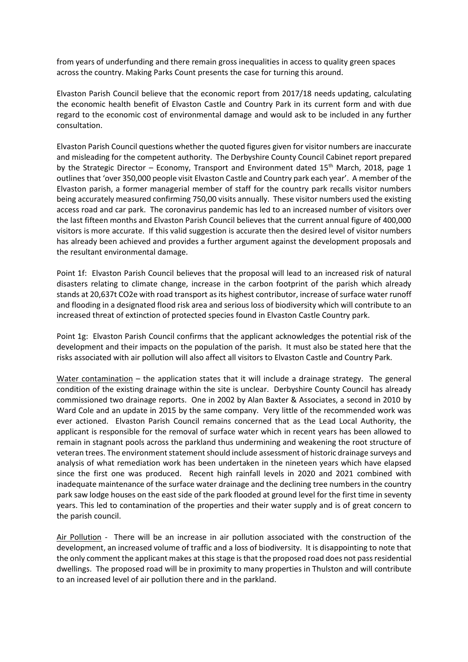from years of underfunding and there remain gross inequalities in access to quality green spaces across the country. Making Parks Count presents the case for turning this around.

Elvaston Parish Council believe that the economic report from 2017/18 needs updating, calculating the economic health benefit of Elvaston Castle and Country Park in its current form and with due regard to the economic cost of environmental damage and would ask to be included in any further consultation.

Elvaston Parish Council questions whether the quoted figures given for visitor numbers are inaccurate and misleading for the competent authority. The Derbyshire County Council Cabinet report prepared by the Strategic Director – Economy, Transport and Environment dated  $15<sup>th</sup>$  March, 2018, page 1 outlines that 'over 350,000 people visit Elvaston Castle and Country park each year'. A member of the Elvaston parish, a former managerial member of staff for the country park recalls visitor numbers being accurately measured confirming 750,00 visits annually. These visitor numbers used the existing access road and car park. The coronavirus pandemic has led to an increased number of visitors over the last fifteen months and Elvaston Parish Council believes that the current annual figure of 400,000 visitors is more accurate. If this valid suggestion is accurate then the desired level of visitor numbers has already been achieved and provides a further argument against the development proposals and the resultant environmental damage.

Point 1f: Elvaston Parish Council believes that the proposal will lead to an increased risk of natural disasters relating to climate change, increase in the carbon footprint of the parish which already stands at 20,637t CO2e with road transport as its highest contributor, increase of surface water runoff and flooding in a designated flood risk area and serious loss of biodiversity which will contribute to an increased threat of extinction of protected species found in Elvaston Castle Country park.

Point 1g: Elvaston Parish Council confirms that the applicant acknowledges the potential risk of the development and their impacts on the population of the parish. It must also be stated here that the risks associated with air pollution will also affect all visitors to Elvaston Castle and Country Park.

Water contamination – the application states that it will include a drainage strategy. The general condition of the existing drainage within the site is unclear. Derbyshire County Council has already commissioned two drainage reports. One in 2002 by Alan Baxter & Associates, a second in 2010 by Ward Cole and an update in 2015 by the same company. Very little of the recommended work was ever actioned. Elvaston Parish Council remains concerned that as the Lead Local Authority, the applicant is responsible for the removal of surface water which in recent years has been allowed to remain in stagnant pools across the parkland thus undermining and weakening the root structure of veteran trees. The environment statement should include assessment of historic drainage surveys and analysis of what remediation work has been undertaken in the nineteen years which have elapsed since the first one was produced. Recent high rainfall levels in 2020 and 2021 combined with inadequate maintenance of the surface water drainage and the declining tree numbers in the country park saw lodge houses on the east side of the park flooded at ground level for the first time in seventy years. This led to contamination of the properties and their water supply and is of great concern to the parish council.

Air Pollution - There will be an increase in air pollution associated with the construction of the development, an increased volume of traffic and a loss of biodiversity. It is disappointing to note that the only comment the applicant makes at this stage is that the proposed road does not pass residential dwellings. The proposed road will be in proximity to many properties in Thulston and will contribute to an increased level of air pollution there and in the parkland.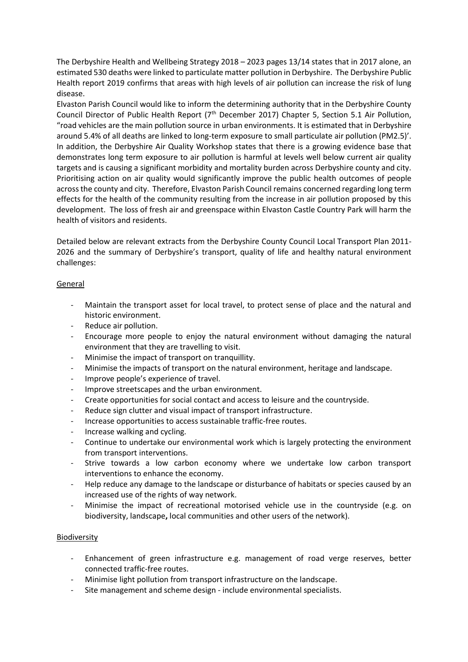The Derbyshire Health and Wellbeing Strategy 2018 – 2023 pages 13/14 states that in 2017 alone, an estimated 530 deaths were linked to particulate matter pollution in Derbyshire. The Derbyshire Public Health report 2019 confirms that areas with high levels of air pollution can increase the risk of lung disease.

Elvaston Parish Council would like to inform the determining authority that in the Derbyshire County Council Director of Public Health Report (7<sup>th</sup> December 2017) Chapter 5, Section 5.1 Air Pollution, "road vehicles are the main pollution source in urban environments. It is estimated that in Derbyshire around 5.4% of all deaths are linked to long-term exposure to small particulate air pollution (PM2.5)'. In addition, the Derbyshire Air Quality Workshop states that there is a growing evidence base that demonstrates long term exposure to air pollution is harmful at levels well below current air quality targets and is causing a significant morbidity and mortality burden across Derbyshire county and city. Prioritising action on air quality would significantly improve the public health outcomes of people across the county and city. Therefore, Elvaston Parish Council remains concerned regarding long term effects for the health of the community resulting from the increase in air pollution proposed by this development. The loss of fresh air and greenspace within Elvaston Castle Country Park will harm the health of visitors and residents.

Detailed below are relevant extracts from the Derbyshire County Council Local Transport Plan 2011- 2026 and the summary of Derbyshire's transport, quality of life and healthy natural environment challenges:

## General

- Maintain the transport asset for local travel, to protect sense of place and the natural and historic environment.
- Reduce air pollution.
- Encourage more people to enjoy the natural environment without damaging the natural environment that they are travelling to visit.
- Minimise the impact of transport on tranquillity.
- Minimise the impacts of transport on the natural environment, heritage and landscape.
- Improve people's experience of travel.
- Improve streetscapes and the urban environment.
- Create opportunities for social contact and access to leisure and the countryside.
- Reduce sign clutter and visual impact of transport infrastructure.
- Increase opportunities to access sustainable traffic-free routes.
- Increase walking and cycling.
- Continue to undertake our environmental work which is largely protecting the environment from transport interventions.
- Strive towards a low carbon economy where we undertake low carbon transport interventions to enhance the economy.
- Help reduce any damage to the landscape or disturbance of habitats or species caused by an increased use of the rights of way network.
- Minimise the impact of recreational motorised vehicle use in the countryside (e.g. on biodiversity, landscape**,** local communities and other users of the network).

#### **Biodiversity**

- Enhancement of green infrastructure e.g. management of road verge reserves, better connected traffic-free routes.
- Minimise light pollution from transport infrastructure on the landscape.
- Site management and scheme design include environmental specialists.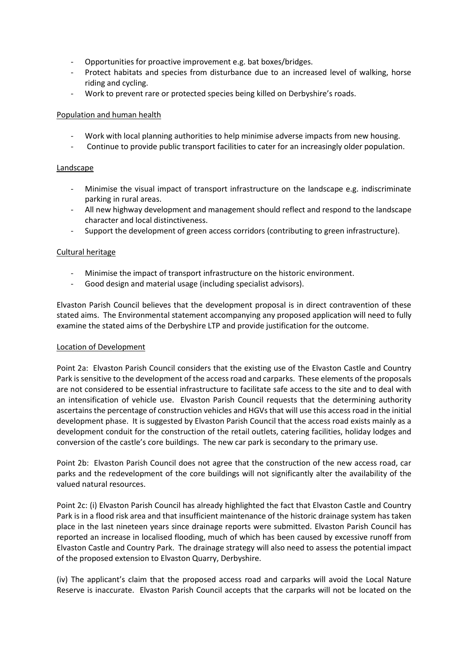- Opportunities for proactive improvement e.g. bat boxes/bridges.
- Protect habitats and species from disturbance due to an increased level of walking, horse riding and cycling.
- Work to prevent rare or protected species being killed on Derbyshire's roads.

#### Population and human health

- Work with local planning authorities to help minimise adverse impacts from new housing.
- Continue to provide public transport facilities to cater for an increasingly older population.

#### **Landscape**

- Minimise the visual impact of transport infrastructure on the landscape e.g. indiscriminate parking in rural areas.
- All new highway development and management should reflect and respond to the landscape character and local distinctiveness.
- Support the development of green access corridors (contributing to green infrastructure).

## Cultural heritage

- Minimise the impact of transport infrastructure on the historic environment.
- Good design and material usage (including specialist advisors).

Elvaston Parish Council believes that the development proposal is in direct contravention of these stated aims. The Environmental statement accompanying any proposed application will need to fully examine the stated aims of the Derbyshire LTP and provide justification for the outcome.

#### Location of Development

Point 2a: Elvaston Parish Council considers that the existing use of the Elvaston Castle and Country Park is sensitive to the development of the access road and carparks. These elements of the proposals are not considered to be essential infrastructure to facilitate safe access to the site and to deal with an intensification of vehicle use. Elvaston Parish Council requests that the determining authority ascertains the percentage of construction vehicles and HGVs that will use this access road in the initial development phase. It is suggested by Elvaston Parish Council that the access road exists mainly as a development conduit for the construction of the retail outlets, catering facilities, holiday lodges and conversion of the castle's core buildings. The new car park is secondary to the primary use.

Point 2b: Elvaston Parish Council does not agree that the construction of the new access road, car parks and the redevelopment of the core buildings will not significantly alter the availability of the valued natural resources.

Point 2c: (i) Elvaston Parish Council has already highlighted the fact that Elvaston Castle and Country Park is in a flood risk area and that insufficient maintenance of the historic drainage system has taken place in the last nineteen years since drainage reports were submitted. Elvaston Parish Council has reported an increase in localised flooding, much of which has been caused by excessive runoff from Elvaston Castle and Country Park. The drainage strategy will also need to assess the potential impact of the proposed extension to Elvaston Quarry, Derbyshire.

(iv) The applicant's claim that the proposed access road and carparks will avoid the Local Nature Reserve is inaccurate. Elvaston Parish Council accepts that the carparks will not be located on the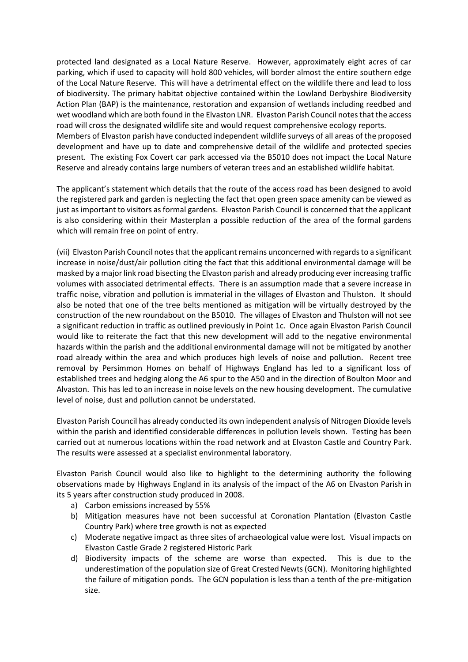protected land designated as a Local Nature Reserve. However, approximately eight acres of car parking, which if used to capacity will hold 800 vehicles, will border almost the entire southern edge of the Local Nature Reserve. This will have a detrimental effect on the wildlife there and lead to loss of biodiversity. The primary habitat objective contained within the Lowland Derbyshire Biodiversity Action Plan (BAP) is the maintenance, restoration and expansion of wetlands including reedbed and wet woodland which are both found in the Elvaston LNR. Elvaston Parish Council notes that the access road will cross the designated wildlife site and would request comprehensive ecology reports. Members of Elvaston parish have conducted independent wildlife surveys of all areas of the proposed development and have up to date and comprehensive detail of the wildlife and protected species present. The existing Fox Covert car park accessed via the B5010 does not impact the Local Nature Reserve and already contains large numbers of veteran trees and an established wildlife habitat.

The applicant's statement which details that the route of the access road has been designed to avoid the registered park and garden is neglecting the fact that open green space amenity can be viewed as just as important to visitors as formal gardens. Elvaston Parish Council is concerned that the applicant is also considering within their Masterplan a possible reduction of the area of the formal gardens which will remain free on point of entry.

(vii) Elvaston Parish Council notes that the applicant remains unconcerned with regards to a significant increase in noise/dust/air pollution citing the fact that this additional environmental damage will be masked by a major link road bisecting the Elvaston parish and already producing ever increasing traffic volumes with associated detrimental effects. There is an assumption made that a severe increase in traffic noise, vibration and pollution is immaterial in the villages of Elvaston and Thulston. It should also be noted that one of the tree belts mentioned as mitigation will be virtually destroyed by the construction of the new roundabout on the B5010. The villages of Elvaston and Thulston will not see a significant reduction in traffic as outlined previously in Point 1c. Once again Elvaston Parish Council would like to reiterate the fact that this new development will add to the negative environmental hazards within the parish and the additional environmental damage will not be mitigated by another road already within the area and which produces high levels of noise and pollution. Recent tree removal by Persimmon Homes on behalf of Highways England has led to a significant loss of established trees and hedging along the A6 spur to the A50 and in the direction of Boulton Moor and Alvaston. This has led to an increase in noise levels on the new housing development. The cumulative level of noise, dust and pollution cannot be understated.

Elvaston Parish Council has already conducted its own independent analysis of Nitrogen Dioxide levels within the parish and identified considerable differences in pollution levels shown. Testing has been carried out at numerous locations within the road network and at Elvaston Castle and Country Park. The results were assessed at a specialist environmental laboratory.

Elvaston Parish Council would also like to highlight to the determining authority the following observations made by Highways England in its analysis of the impact of the A6 on Elvaston Parish in its 5 years after construction study produced in 2008.

- a) Carbon emissions increased by 55%
- b) Mitigation measures have not been successful at Coronation Plantation (Elvaston Castle Country Park) where tree growth is not as expected
- c) Moderate negative impact as three sites of archaeological value were lost. Visual impacts on Elvaston Castle Grade 2 registered Historic Park
- d) Biodiversity impacts of the scheme are worse than expected. This is due to the underestimation of the population size of Great Crested Newts (GCN). Monitoring highlighted the failure of mitigation ponds. The GCN population is less than a tenth of the pre-mitigation size.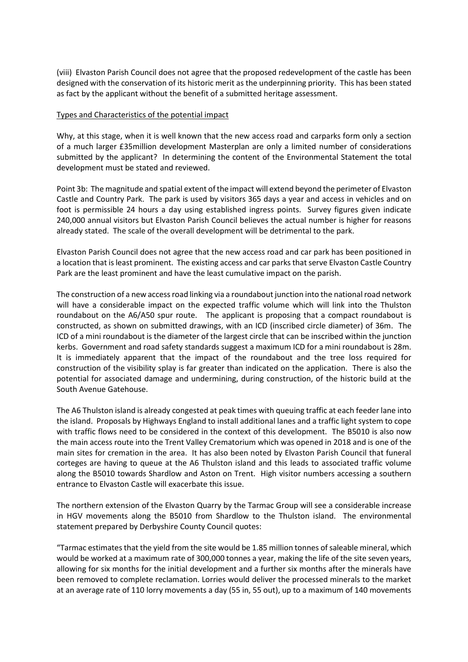(viii) Elvaston Parish Council does not agree that the proposed redevelopment of the castle has been designed with the conservation of its historic merit as the underpinning priority. This has been stated as fact by the applicant without the benefit of a submitted heritage assessment.

#### Types and Characteristics of the potential impact

Why, at this stage, when it is well known that the new access road and carparks form only a section of a much larger £35million development Masterplan are only a limited number of considerations submitted by the applicant? In determining the content of the Environmental Statement the total development must be stated and reviewed.

Point 3b: The magnitude and spatial extent of the impact will extend beyond the perimeter of Elvaston Castle and Country Park. The park is used by visitors 365 days a year and access in vehicles and on foot is permissible 24 hours a day using established ingress points. Survey figures given indicate 240,000 annual visitors but Elvaston Parish Council believes the actual number is higher for reasons already stated. The scale of the overall development will be detrimental to the park.

Elvaston Parish Council does not agree that the new access road and car park has been positioned in a location that is least prominent. The existing access and car parks that serve Elvaston Castle Country Park are the least prominent and have the least cumulative impact on the parish.

The construction of a new access road linking via a roundabout junction into the national road network will have a considerable impact on the expected traffic volume which will link into the Thulston roundabout on the A6/A50 spur route. The applicant is proposing that a compact roundabout is constructed, as shown on submitted drawings, with an ICD (inscribed circle diameter) of 36m. The ICD of a mini roundabout is the diameter of the largest circle that can be inscribed within the junction kerbs. Government and road safety standards suggest a maximum ICD for a mini roundabout is 28m. It is immediately apparent that the impact of the roundabout and the tree loss required for construction of the visibility splay is far greater than indicated on the application. There is also the potential for associated damage and undermining, during construction, of the historic build at the South Avenue Gatehouse.

The A6 Thulston island is already congested at peak times with queuing traffic at each feeder lane into the island. Proposals by Highways England to install additional lanes and a traffic light system to cope with traffic flows need to be considered in the context of this development. The B5010 is also now the main access route into the Trent Valley Crematorium which was opened in 2018 and is one of the main sites for cremation in the area. It has also been noted by Elvaston Parish Council that funeral corteges are having to queue at the A6 Thulston island and this leads to associated traffic volume along the B5010 towards Shardlow and Aston on Trent. High visitor numbers accessing a southern entrance to Elvaston Castle will exacerbate this issue.

The northern extension of the Elvaston Quarry by the Tarmac Group will see a considerable increase in HGV movements along the B5010 from Shardlow to the Thulston island. The environmental statement prepared by Derbyshire County Council quotes:

"Tarmac estimates that the yield from the site would be 1.85 million tonnes of saleable mineral, which would be worked at a maximum rate of 300,000 tonnes a year, making the life of the site seven years, allowing for six months for the initial development and a further six months after the minerals have been removed to complete reclamation. Lorries would deliver the processed minerals to the market at an average rate of 110 lorry movements a day (55 in, 55 out), up to a maximum of 140 movements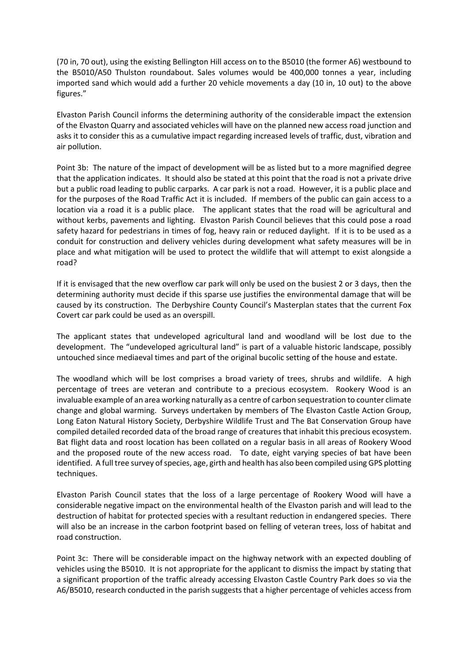(70 in, 70 out), using the existing Bellington Hill access on to the B5010 (the former A6) westbound to the B5010/A50 Thulston roundabout. Sales volumes would be 400,000 tonnes a year, including imported sand which would add a further 20 vehicle movements a day (10 in, 10 out) to the above figures."

Elvaston Parish Council informs the determining authority of the considerable impact the extension of the Elvaston Quarry and associated vehicles will have on the planned new access road junction and asks it to consider this as a cumulative impact regarding increased levels of traffic, dust, vibration and air pollution.

Point 3b: The nature of the impact of development will be as listed but to a more magnified degree that the application indicates. It should also be stated at this point that the road is not a private drive but a public road leading to public carparks. A car park is not a road. However, it is a public place and for the purposes of the Road Traffic Act it is included. If members of the public can gain access to a location via a road it is a public place. The applicant states that the road will be agricultural and without kerbs, pavements and lighting. Elvaston Parish Council believes that this could pose a road safety hazard for pedestrians in times of fog, heavy rain or reduced daylight. If it is to be used as a conduit for construction and delivery vehicles during development what safety measures will be in place and what mitigation will be used to protect the wildlife that will attempt to exist alongside a road?

If it is envisaged that the new overflow car park will only be used on the busiest 2 or 3 days, then the determining authority must decide if this sparse use justifies the environmental damage that will be caused by its construction. The Derbyshire County Council's Masterplan states that the current Fox Covert car park could be used as an overspill.

The applicant states that undeveloped agricultural land and woodland will be lost due to the development. The "undeveloped agricultural land" is part of a valuable historic landscape, possibly untouched since mediaeval times and part of the original bucolic setting of the house and estate.

The woodland which will be lost comprises a broad variety of trees, shrubs and wildlife. A high percentage of trees are veteran and contribute to a precious ecosystem. Rookery Wood is an invaluable example of an area working naturally as a centre of carbon sequestration to counter climate change and global warming. Surveys undertaken by members of The Elvaston Castle Action Group, Long Eaton Natural History Society, Derbyshire Wildlife Trust and The Bat Conservation Group have compiled detailed recorded data of the broad range of creatures that inhabit this precious ecosystem. Bat flight data and roost location has been collated on a regular basis in all areas of Rookery Wood and the proposed route of the new access road. To date, eight varying species of bat have been identified. A full tree survey of species, age, girth and health has also been compiled using GPS plotting techniques.

Elvaston Parish Council states that the loss of a large percentage of Rookery Wood will have a considerable negative impact on the environmental health of the Elvaston parish and will lead to the destruction of habitat for protected species with a resultant reduction in endangered species. There will also be an increase in the carbon footprint based on felling of veteran trees, loss of habitat and road construction.

Point 3c: There will be considerable impact on the highway network with an expected doubling of vehicles using the B5010. It is not appropriate for the applicant to dismiss the impact by stating that a significant proportion of the traffic already accessing Elvaston Castle Country Park does so via the A6/B5010, research conducted in the parish suggests that a higher percentage of vehicles access from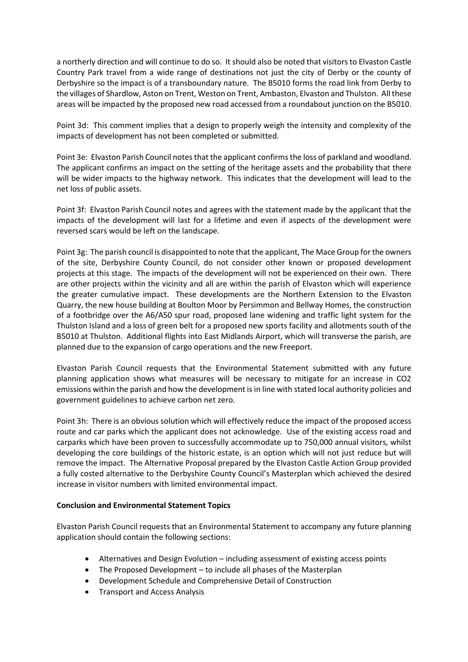a northerly direction and will continue to do so. It should also be noted that visitors to Elvaston Castle Country Park travel from a wide range of destinations not just the city of Derby or the county of Derbyshire so the impact is of a transboundary nature. The B5010 forms the road link from Derby to the villages of Shardlow, Aston on Trent, Weston on Trent, Ambaston, Elvaston and Thulston. All these areas will be impacted by the proposed new road accessed from a roundabout junction on the B5010.

Point 3d: This comment implies that a design to properly weigh the intensity and complexity of the impacts of development has not been completed or submitted.

Point 3e: Elvaston Parish Council notes that the applicant confirms the loss of parkland and woodland. The applicant confirms an impact on the setting of the heritage assets and the probability that there will be wider impacts to the highway network. This indicates that the development will lead to the net loss of public assets.

Point 3f: Elvaston Parish Council notes and agrees with the statement made by the applicant that the impacts of the development will last for a lifetime and even if aspects of the development were reversed scars would be left on the landscape.

Point 3g: The parish council is disappointed to note that the applicant, The Mace Group for the owners of the site, Derbyshire County Council, do not consider other known or proposed development projects at this stage. The impacts of the development will not be experienced on their own. There are other projects within the vicinity and all are within the parish of Elvaston which will experience the greater cumulative impact. These developments are the Northern Extension to the Elvaston Quarry, the new house building at Boulton Moor by Persimmon and Bellway Homes, the construction of a footbridge over the A6/A50 spur road, proposed lane widening and traffic light system for the Thulston Island and a loss of green belt for a proposed new sports facility and allotments south of the B5010 at Thulston. Additional flights into East Midlands Airport, which will transverse the parish, are planned due to the expansion of cargo operations and the new Freeport.

Elvaston Parish Council requests that the Environmental Statement submitted with any future planning application shows what measures will be necessary to mitigate for an increase in CO2 emissions within the parish and how the development is in line with stated local authority policies and government guidelines to achieve carbon net zero.

Point 3h: There is an obvious solution which will effectively reduce the impact of the proposed access route and car parks which the applicant does not acknowledge. Use of the existing access road and carparks which have been proven to successfully accommodate up to 750,000 annual visitors, whilst developing the core buildings of the historic estate, is an option which will not just reduce but will remove the impact. The Alternative Proposal prepared by the Elvaston Castle Action Group provided a fully costed alternative to the Derbyshire County Council's Masterplan which achieved the desired increase in visitor numbers with limited environmental impact.

#### **Conclusion and Environmental Statement Topics**

Elvaston Parish Council requests that an Environmental Statement to accompany any future planning application should contain the following sections:

- Alternatives and Design Evolution including assessment of existing access points
- The Proposed Development to include all phases of the Masterplan
- Development Schedule and Comprehensive Detail of Construction
- Transport and Access Analysis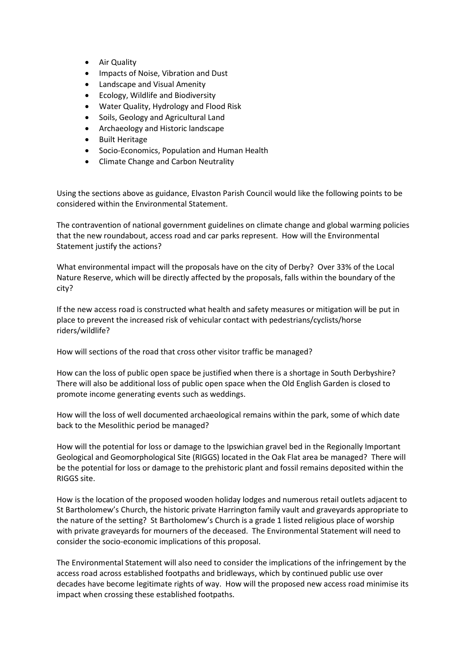- Air Quality
- Impacts of Noise, Vibration and Dust
- Landscape and Visual Amenity
- Ecology, Wildlife and Biodiversity
- Water Quality, Hydrology and Flood Risk
- Soils, Geology and Agricultural Land
- Archaeology and Historic landscape
- Built Heritage
- Socio-Economics, Population and Human Health
- Climate Change and Carbon Neutrality

Using the sections above as guidance, Elvaston Parish Council would like the following points to be considered within the Environmental Statement.

The contravention of national government guidelines on climate change and global warming policies that the new roundabout, access road and car parks represent. How will the Environmental Statement justify the actions?

What environmental impact will the proposals have on the city of Derby? Over 33% of the Local Nature Reserve, which will be directly affected by the proposals, falls within the boundary of the city?

If the new access road is constructed what health and safety measures or mitigation will be put in place to prevent the increased risk of vehicular contact with pedestrians/cyclists/horse riders/wildlife?

How will sections of the road that cross other visitor traffic be managed?

How can the loss of public open space be justified when there is a shortage in South Derbyshire? There will also be additional loss of public open space when the Old English Garden is closed to promote income generating events such as weddings.

How will the loss of well documented archaeological remains within the park, some of which date back to the Mesolithic period be managed?

How will the potential for loss or damage to the Ipswichian gravel bed in the Regionally Important Geological and Geomorphological Site (RIGGS) located in the Oak Flat area be managed? There will be the potential for loss or damage to the prehistoric plant and fossil remains deposited within the RIGGS site.

How is the location of the proposed wooden holiday lodges and numerous retail outlets adjacent to St Bartholomew's Church, the historic private Harrington family vault and graveyards appropriate to the nature of the setting? St Bartholomew's Church is a grade 1 listed religious place of worship with private graveyards for mourners of the deceased. The Environmental Statement will need to consider the socio-economic implications of this proposal.

The Environmental Statement will also need to consider the implications of the infringement by the access road across established footpaths and bridleways, which by continued public use over decades have become legitimate rights of way. How will the proposed new access road minimise its impact when crossing these established footpaths.